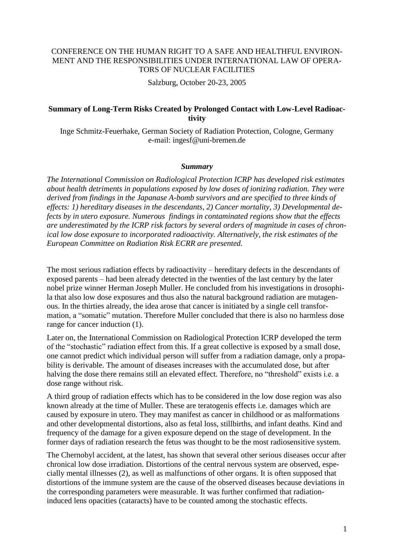## CONFERENCE ON THE HUMAN RIGHT TO A SAFE AND HEALTHFUL ENVIRON-MENT AND THE RESPONSIBILITIES UNDER INTERNATIONAL LAW OF OPERA-TORS OF NUCLEAR FACILITIES

Salzburg, October 20-23, 2005

## **Summary of Long-Term Risks Created by Prolonged Contact with Low-Level Radioactivity**

Inge Schmitz-Feuerhake, German Society of Radiation Protection, Cologne, Germany e-mail: ingesf@uni-bremen.de

## *Summary*

*The International Commission on Radiological Protection ICRP has developed risk estimates about health detriments in populations exposed by low doses of ionizing radiation. They were derived from findings in the Japanase A-bomb survivors and are specified to three kinds of effects: 1) hereditary diseases in the descendants, 2) Cancer mortality, 3) Developmental defects by in utero exposure. Numerous findings in contaminated regions show that the effects are underestimated by the ICRP risk factors by several orders of magnitude in cases of chronical low dose exposure to incorporated radioactivity. Alternatively, the risk estimates of the European Committee on Radiation Risk ECRR are presented.*

The most serious radiation effects by radioactivity – hereditary defects in the descendants of exposed parents – had been already detected in the twenties of the last century by the later nobel prize winner Herman Joseph Muller. He concluded from his investigations in drosophila that also low dose exposures and thus also the natural background radiation are mutagenous. In the thirties already, the idea arose that cancer is initiated by a single cell transformation, a "somatic" mutation. Therefore Muller concluded that there is also no harmless dose range for cancer induction (1).

Later on, the International Commission on Radiological Protection ICRP developed the term of the "stochastic" radiation effect from this. If a great collective is exposed by a small dose, one cannot predict which individual person will suffer from a radiation damage, only a propability is derivable. The amount of diseases increases with the accumulated dose, but after halving the dose there remains still an elevated effect. Therefore, no "threshold" exists i.e. a dose range without risk.

A third group of radiation effects which has to be considered in the low dose region was also known already at the time of Muller. These are teratogenis effects i.e. damages which are caused by exposure in utero. They may manifest as cancer in childhood or as malformations and other developmental distortions, also as fetal loss, stillbirths, and infant deaths. Kind and frequency of the damage for a given exposure depend on the stage of development. In the former days of radiation research the fetus was thought to be the most radiosensitive system.

The Chernobyl accident, at the latest, has shown that several other serious diseases occur after chronical low dose irradiation. Distortions of the central nervous system are observed, especially mental illnesses (2), as well as malfunctions of other organs. It is often supposed that distortions of the immune system are the cause of the observed diseases because deviations in the corresponding parameters were measurable. It was further confirmed that radiationinduced lens opacities (cataracts) have to be counted among the stochastic effects.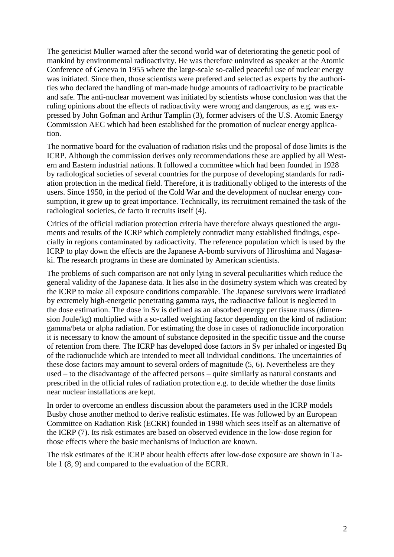The geneticist Muller warned after the second world war of deteriorating the genetic pool of mankind by environmental radioactivity. He was therefore uninvited as speaker at the Atomic Conference of Geneva in 1955 where the large-scale so-called peaceful use of nuclear energy was initiated. Since then, those scientists were prefered and selected as experts by the authorities who declared the handling of man-made hudge amounts of radioactivity to be practicable and safe. The anti-nuclear movement was initiated by scientists whose conclusion was that the ruling opinions about the effects of radioactivity were wrong and dangerous, as e.g. was expressed by John Gofman and Arthur Tamplin (3), former advisers of the U.S. Atomic Energy Commission AEC which had been established for the promotion of nuclear energy application.

The normative board for the evaluation of radiation risks und the proposal of dose limits is the ICRP. Although the commission derives only recommendations these are applied by all Western and Eastern industrial nations. It followed a committee which had been founded in 1928 by radiological societies of several countries for the purpose of developing standards for radiation protection in the medical field. Therefore, it is traditionally obliged to the interests of the users. Since 1950, in the period of the Cold War and the development of nuclear energy consumption, it grew up to great importance. Technically, its recruitment remained the task of the radiological societies, de facto it recruits itself (4).

Critics of the official radiation protection criteria have therefore always questioned the arguments and results of the ICRP which completely contradict many established findings, especially in regions contaminated by radioactivity. The reference population which is used by the ICRP to play down the effects are the Japanese A-bomb survivors of Hiroshima and Nagasaki. The research programs in these are dominated by American scientists.

The problems of such comparison are not only lying in several peculiarities which reduce the general validity of the Japanese data. It lies also in the dosimetry system which was created by the ICRP to make all exposure conditions comparable. The Japanese survivors were irradiated by extremely high-energetic penetrating gamma rays, the radioactive fallout is neglected in the dose estimation. The dose in Sv is defined as an absorbed energy per tissue mass (dimension Joule/kg) multiplied with a so-called weighting factor depending on the kind of radiation: gamma/beta or alpha radiation. For estimating the dose in cases of radionuclide incorporation it is necessary to know the amount of substance deposited in the specific tissue and the course of retention from there. The ICRP has developed dose factors in Sv per inhaled or ingested Bq of the radionuclide which are intended to meet all individual conditions. The uncertainties of these dose factors may amount to several orders of magnitude (5, 6). Nevertheless are they used – to the disadvantage of the affected persons – quite similarly as natural constants and prescribed in the official rules of radiation protection e.g. to decide whether the dose limits near nuclear installations are kept.

In order to overcome an endless discussion about the parameters used in the ICRP models Busby chose another method to derive realistic estimates. He was followed by an European Committee on Radiation Risk (ECRR) founded in 1998 which sees itself as an alternative of the ICRP (7). Its risk estimates are based on observed evidence in the low-dose region for those effects where the basic mechanisms of induction are known.

The risk estimates of the ICRP about health effects after low-dose exposure are shown in Table 1 (8, 9) and compared to the evaluation of the ECRR.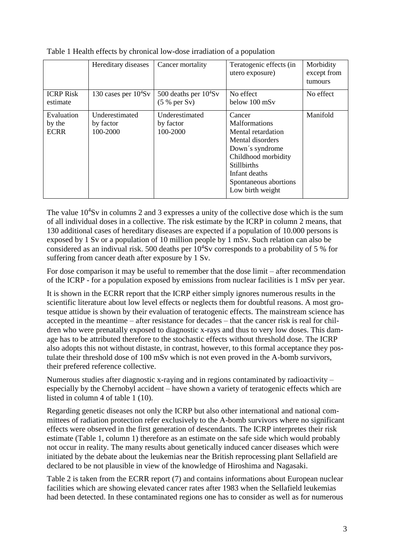|                                     | Hereditary diseases                     | Cancer mortality                         | Teratogenic effects (in<br>utero exposure)                                                                                                                                                             | Morbidity<br>except from<br>tumours |
|-------------------------------------|-----------------------------------------|------------------------------------------|--------------------------------------------------------------------------------------------------------------------------------------------------------------------------------------------------------|-------------------------------------|
| <b>ICRP Risk</b><br>estimate        | 130 cases per $10^4$ Sv                 | 500 deaths per $10^4$ Sv<br>(5 % per Sv) | No effect<br>below 100 mSv                                                                                                                                                                             | No effect                           |
| Evaluation<br>by the<br><b>ECRR</b> | Underestimated<br>by factor<br>100-2000 | Underestimated<br>by factor<br>100-2000  | Cancer<br><b>Malformations</b><br>Mental retardation<br>Mental disorders<br>Down's syndrome<br>Childhood morbidity<br><b>Stillbirths</b><br>Infant deaths<br>Spontaneous abortions<br>Low birth weight | Manifold                            |

Table 1 Health effects by chronical low-dose irradiation of a population

The value  $10^4$ Sv in columns 2 and 3 expresses a unity of the collective dose which is the sum of all individual doses in a collective. The risk estimate by the ICRP in column 2 means, that 130 additional cases of hereditary diseases are expected if a population of 10.000 persons is exposed by 1 Sv or a population of 10 million people by 1 mSv. Such relation can also be considered as an indivual risk. 500 deaths per  $10^4$ Sv corresponds to a probability of 5 % for suffering from cancer death after exposure by 1 Sv.

For dose comparison it may be useful to remember that the dose limit – after recommendation of the ICRP - for a population exposed by emissions from nuclear facilities is 1 mSv per year.

It is shown in the ECRR report that the ICRP either simply ignores numerous results in the scientific literature about low level effects or neglects them for doubtful reasons. A most grotesque attidue is shown by their evaluation of teratogenic effects. The mainstream science has accepted in the meantime – after resistance for decades – that the cancer risk is real for children who were prenatally exposed to diagnostic x-rays and thus to very low doses. This damage has to be attributed therefore to the stochastic effects without threshold dose. The ICRP also adopts this not without distaste, in contrast, however, to this formal acceptance they postulate their threshold dose of 100 mSv which is not even proved in the A-bomb survivors, their prefered reference collective.

Numerous studies after diagnostic x-raying and in regions contaminated by radioactivity – especially by the Chernobyl accident – have shown a variety of teratogenic effects which are listed in column 4 of table 1 (10).

Regarding genetic diseases not only the ICRP but also other international and national committees of radiation protection refer exclusively to the A-bomb survivors where no significant effects were observed in the first generation of descendants. The ICRP interpretes their risk estimate (Table 1, column 1) therefore as an estimate on the safe side which would probably not occur in reality. The many results about genetically induced cancer diseases which were initiated by the debate about the leukemias near the British reprocessing plant Sellafield are declared to be not plausible in view of the knowledge of Hiroshima and Nagasaki.

Table 2 is taken from the ECRR report (7) and contains informations about European nuclear facilities which are showing elevated cancer rates after 1983 when the Sellafield leukemias had been detected. In these contaminated regions one has to consider as well as for numerous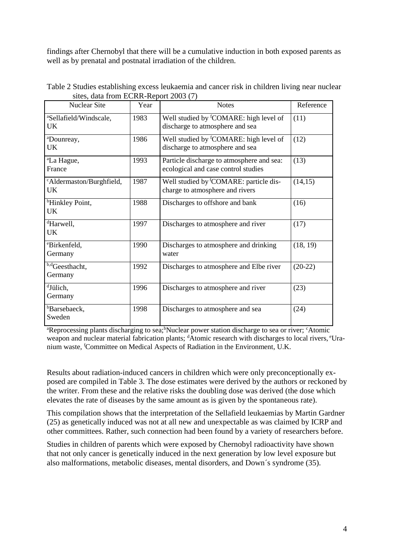findings after Chernobyl that there will be a cumulative induction in both exposed parents as well as by prenatal and postnatal irradiation of the children.

| <b>Nuclear Site</b>                             | Year | <b>Notes</b>                                                                          | Reference |
|-------------------------------------------------|------|---------------------------------------------------------------------------------------|-----------|
| <sup>a</sup> Sellafield/Windscale,<br><b>UK</b> | 1983 | Well studied by <sup>f</sup> COMARE: high level of<br>discharge to atmosphere and sea | (11)      |
| <sup>a</sup> Dounreay,<br>UK                    | 1986 | Well studied by <sup>f</sup> COMARE: high level of<br>discharge to atmosphere and sea | (12)      |
| <sup>a</sup> La Hague,<br>France                | 1993 | Particle discharge to atmosphere and sea:<br>ecological and case control studies      | (13)      |
| <sup>c</sup> Aldermaston/Burghfield,<br>UK.     | 1987 | Well studied by <sup>f</sup> COMARE: particle dis-<br>charge to atmosphere and rivers | (14,15)   |
| <sup>b</sup> Hinkley Point,<br><b>UK</b>        | 1988 | Discharges to offshore and bank                                                       | (16)      |
| <sup>d</sup> Harwell,<br><b>UK</b>              | 1997 | Discharges to atmosphere and river                                                    | (17)      |
| <sup>e</sup> Birkenfeld,<br>Germany             | 1990 | Discharges to atmosphere and drinking<br>water                                        | (18, 19)  |
| b,dGeesthacht,<br>Germany                       | 1992 | Discharges to atmosphere and Elbe river                                               | $(20-22)$ |
| dJülich,<br>Germany                             | 1996 | Discharges to atmosphere and river                                                    | (23)      |
| <b>b</b> Barsebaeck,<br>Sweden                  | 1998 | Discharges to atmosphere and sea                                                      | (24)      |

Table 2 Studies establishing excess leukaemia and cancer risk in children living near nuclear sites, data from ECRR-Report 2003 (7)

<sup>a</sup>Reprocessing plants discharging to sea;<sup>b</sup>Nuclear power station discharge to sea or river; <sup>c</sup>Atomic weapon and nuclear material fabrication plants; <sup>d</sup>Atomic research with discharges to local rivers, <sup>e</sup>Uranium waste, <sup>f</sup>Committee on Medical Aspects of Radiation in the Environment, U.K.

Results about radiation-induced cancers in children which were only preconceptionally exposed are compiled in Table 3. The dose estimates were derived by the authors or reckoned by the writer. From these and the relative risks the doubling dose was derived (the dose which elevates the rate of diseases by the same amount as is given by the spontaneous rate).

This compilation shows that the interpretation of the Sellafield leukaemias by Martin Gardner (25) as genetically induced was not at all new and unexpectable as was claimed by ICRP and other committees. Rather, such connection had been found by a variety of researchers before.

Studies in children of parents which were exposed by Chernobyl radioactivity have shown that not only cancer is genetically induced in the next generation by low level exposure but also malformations, metabolic diseases, mental disorders, and Down´s syndrome (35).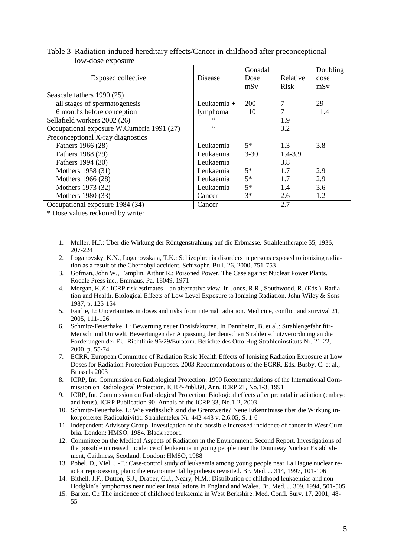| Table 3 Radiation-induced hereditary effects/Cancer in childhood after preconceptional |  |  |
|----------------------------------------------------------------------------------------|--|--|
| low-dose exposure                                                                      |  |  |

|                                           |                 | Gonadal  |             | Doubling |
|-------------------------------------------|-----------------|----------|-------------|----------|
| Exposed collective                        | Disease         | Dose     | Relative    | dose     |
|                                           |                 | mSv      | <b>Risk</b> | mSv      |
| Seascale fathers 1990 (25)                |                 |          |             |          |
| all stages of spermatogenesis             | Leukaemia +     | 200      | 7           | 29       |
| 6 months before conception                | lymphoma        | 10       |             | 1.4      |
| Sellafield workers 2002 (26)              | $\epsilon$      |          | 1.9         |          |
| Occupational exposure W.Cumbria 1991 (27) | $\zeta$ $\zeta$ |          | 3.2         |          |
| Preconceptional X-ray diagnostics         |                 |          |             |          |
| Fathers 1966 (28)                         | Leukaemia       | $5*$     | 1.3         | 3.8      |
| Fathers 1988 (29)                         | Leukaemia       | $3 - 30$ | $1.4 - 3.9$ |          |
| Fathers 1994 (30)                         | Leukaemia       |          | 3.8         |          |
| Mothers 1958 (31)                         | Leukaemia       | $5*$     | 1.7         | 2.9      |
| Mothers 1966 (28)                         | Leukaemia       | $5*$     | 1.7         | 2.9      |
| Mothers 1973 (32)                         | Leukaemia       | $5*$     | 1.4         | 3.6      |
| Mothers 1980 (33)                         | Cancer          | $3*$     | 2.6         | 1.2      |
| Occupational exposure 1984 (34)           | Cancer          |          | 2.7         |          |

\* Dose values reckoned by writer

- 1. Muller, H.J.: Über die Wirkung der Röntgenstrahlung auf die Erbmasse. Strahlentherapie 55, 1936, 207-224
- 2. Loganovsky, K.N., Loganovskaja, T.K.: Schizophrenia disorders in persons exposed to ionizing radiation as a result of the Chernobyl accident. Schizophr. Bull. 26, 2000, 751-753
- 3. Gofman, John W., Tamplin, Arthur R.: Poisoned Power. The Case against Nuclear Power Plants. Rodale Press inc., Emmaus, Pa. 18049, 1971
- 4. Morgan, K.Z.: ICRP risk estimates an alternative view. In Jones, R.R., Southwood, R. (Eds.), Radiation and Health. Biological Effects of Low Level Exposure to Ionizing Radiation. John Wiley & Sons 1987, p. 125-154
- 5. Fairlie, I.: Uncertainties in doses and risks from internal radiation. Medicine, conflict and survival 21, 2005, 111-126
- 6. Schmitz-Feuerhake, I.: Bewertung neuer Dosisfaktoren. In Dannheim, B. et al.: Strahlengefahr für-Mensch und Umwelt. Bewertungen der Anpassung der deutschen Strahlenschutzverordnung an die Forderungen der EU-Richtlinie 96/29/Euratom. Berichte des Otto Hug Strahleninstituts Nr. 21-22, 2000, p. 55-74
- 7. ECRR, European Committee of Radiation Risk: Health Effects of Ionising Radiation Exposure at Low Doses for Radiation Protection Purposes. 2003 Recommendations of the ECRR. Eds. Busby, C. et al., Brussels 2003
- 8. ICRP, Int. Commission on Radiological Protection: 1990 Recommendations of the International Commission on Radiological Protection. ICRP-Publ.60, Ann. ICRP 21, No.1-3, 1991
- 9. ICRP, Int. Commission on Radiological Protection: Biological effects after prenatal irradiation (embryo and fetus). ICRP Publication 90. Annals of the ICRP 33, No.1-2, 2003
- 10. Schmitz-Feuerhake, I.: Wie verlässlich sind die Grenzwerte? Neue Erkenntnisse über die Wirkung inkorporierter Radioaktivität. Strahlentelex Nr. 442-443 v. 2.6.05, S. 1-6
- 11. Independent Advisory Group. Investigation of the possible increased incidence of cancer in West Cumbria. London: HMSO, 1984. Black report.
- 12. Committee on the Medical Aspects of Radiation in the Environment: Second Report. Investigations of the possible increased incidence of leukaemia in young people near the Dounreay Nuclear Establishment, Caithness, Scotland. London: HMSO, 1988
- 13. Pobel, D., Viel, J.-F.: Case-control study of leukaemia among young people near La Hague nuclear reactor reprocessing plant: the environmental hypothesis revisited. Br. Med. J. 314, 1997, 101-106
- 14. Bithell, J.F., Dutton, S.J., Draper, G.J., Neary, N.M.: Distribution of childhood leukaemias and non-Hodgkin´s lymphomas near nuclear installations in England and Wales. Br. Med. J. 309, 1994, 501-505
- 15. Barton, C.: The incidence of childhood leukaemia in West Berkshire. Med. Confl. Surv. 17, 2001, 48- 55